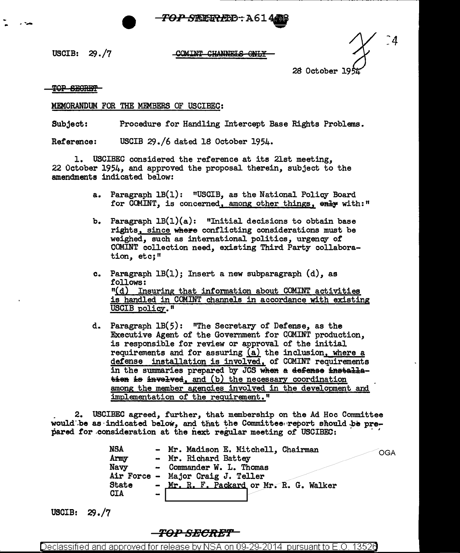<del>'*OP S*RERL</del>D-: A614 **-**

USCIB: 29./7

## COMINT CHANNELS ONLY

^4 28 October 19

TOP SEGRET

## MEMORANDUM FOR THE MEMBERS OF USCIBEC:

Subject: Procedure for Handling Intercept Base Rights Problems.

Reference: USCIB 29./6 dated 18 October 1954.

1. USCIBEC considered the reference at its 21st meeting, 22 October 1954, and approved the proposal therein, subject to the amendments indicated below:

- a. Paragraph lB(l): "USCIB, as the National Policy Board for COMINT, is concerned, among other things, enly with:"
- b. Paragraph  $LB(1)(a)$ : "Initial decisions to obtain base rights, since where conflicting considerations must be weighed, such as international politics, urgency of COMINT collection need, existing Third Party collaboration, etc;"
- c. Paragraph  $LB(1)$ ; Insert a new subparagraph  $(d)$ , as follows: "(d) Insuring that information about COMINT activities is handled in COMINT channels in accordance with existing USCIB policy."
- d. Paragraph 1B(5): "The Secretary of Defense, as the Executive Agent of the Government for COMINT production, is responsible for review or approval of the initial requirements and for assuring  $(a)$  the inclusion, where a defense installation is involved, of COMINT requirements in the summaries prepared by JCS when a defense installa- $\frac{1}{2}$  is invelved, and (b) the necessary coordination among the member agencies involved in the development and implementation of the requirement."

. 2. USCIBEC agreed, further, that membership on the Ad Hoc Committee would be as indicated below, and that the Committee report should be pre- pared for consideration at the next regular meeting of USCIBEC:

> NSA - Mr. Madison E. Mitchell, Chairman - OGA<br>Army - Mr. Richard Battev - Mr. Richard Battey Navy - Commander W. L. Thomas Air Force - Major Craig J. Teller State -  $Mr. R. F. Packard or Mr. R. G. Walker  $CIA$$

USCIB: 29,/7

**TO:P SHOREf'** 

Declassified and approved for release by NSA on 09-29-2014 pursuant to E.O. 13526